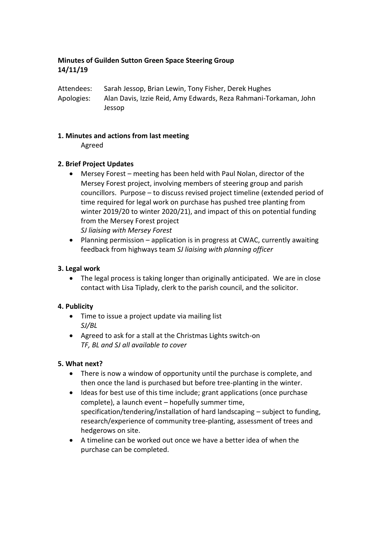## **Minutes of Guilden Sutton Green Space Steering Group 14/11/19**

Attendees: Sarah Jessop, Brian Lewin, Tony Fisher, Derek Hughes Apologies: Alan Davis, Izzie Reid, Amy Edwards, Reza Rahmani-Torkaman, John Jessop

#### **1. Minutes and actions from last meeting**

Agreed

### **2. Brief Project Updates**

- Mersey Forest meeting has been held with Paul Nolan, director of the Mersey Forest project, involving members of steering group and parish councillors. Purpose – to discuss revised project timeline (extended period of time required for legal work on purchase has pushed tree planting from winter 2019/20 to winter 2020/21), and impact of this on potential funding from the Mersey Forest project *SJ liaising with Mersey Forest*
- Planning permission application is in progress at CWAC, currently awaiting feedback from highways team *SJ liaising with planning officer*

#### **3. Legal work**

 The legal process is taking longer than originally anticipated. We are in close contact with Lisa Tiplady, clerk to the parish council, and the solicitor.

### **4. Publicity**

- Time to issue a project update via mailing list *SJ/BL*
- Agreed to ask for a stall at the Christmas Lights switch-on *TF, BL and SJ all available to cover*

### **5. What next?**

- There is now a window of opportunity until the purchase is complete, and then once the land is purchased but before tree-planting in the winter.
- Ideas for best use of this time include; grant applications (once purchase complete), a launch event – hopefully summer time, specification/tendering/installation of hard landscaping – subject to funding, research/experience of community tree-planting, assessment of trees and hedgerows on site.
- A timeline can be worked out once we have a better idea of when the purchase can be completed.